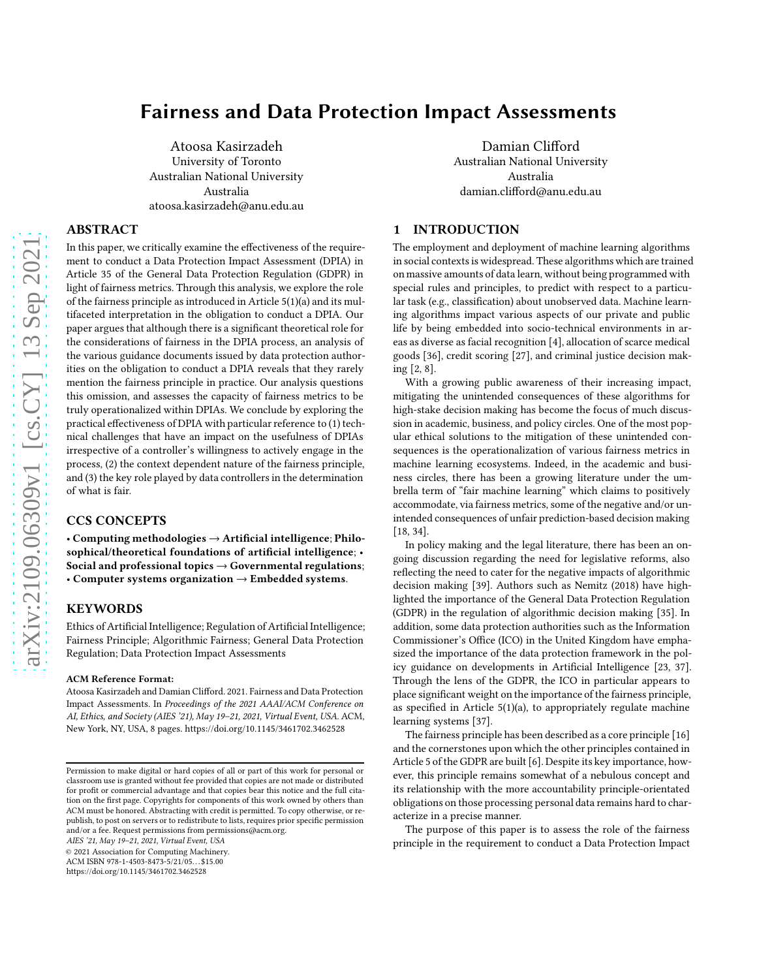# Fairness and Data Protection Impact Assessments

Atoosa Kasirzadeh University of Toronto Australian National University Australia atoosa.kasirzadeh@anu.edu.au

#### ABSTRACT

In this paper, we critically examine the effectiveness of the requirement to conduct a Data Protection Impact Assessment (DPIA) in Article 35 of the General Data Protection Regulation (GDPR) in light of fairness metrics. Through this analysis, we explore the role of the fairness principle as introduced in Article 5(1)(a) and its multifaceted interpretation in the obligation to conduct a DPIA. Our paper argues that although there is a significant theoretical role for the considerations of fairness in the DPIA process, an analysis of the various guidance documents issued by data protection authorities on the obligation to conduct a DPIA reveals that they rarely mention the fairness principle in practice. Our analysis questions this omission, and assesses the capacity of fairness metrics to be truly operationalized within DPIAs. We conclude by exploring the practical effectiveness of DPIA with particular reference to (1) technical challenges that have an impact on the usefulness of DPIAs irrespective of a controller's willingness to actively engage in the process, (2) the context dependent nature of the fairness principle, and (3) the key role played by data controllers in the determination of what is fair.

#### CCS CONCEPTS

• Computing methodologies  $\rightarrow$  Artificial intelligence; Philosophical/theoretical foundations of artificial intelligence; • Social and professional topics  $\rightarrow$  Governmental regulations; • Computer systems organization → Embedded systems.

## **KEYWORDS**

Ethics of Artificial Intelligence; Regulation of Artificial Intelligence; Fairness Principle; Algorithmic Fairness; General Data Protection Regulation; Data Protection Impact Assessments

#### ACM Reference Format:

Atoosa Kasirzadeh and Damian Clifford. 2021. Fairness and Data Protection Impact Assessments. In *Proceedings of the 2021 AAAI/ACM Conference on AI, Ethics, and Society (AIES '21), May 19–21, 2021, Virtual Event, USA.* ACM, New York, NY, USA, [8](#page-7-0) pages.<https://doi.org/10.1145/3461702.3462528>

*AIES '21, May 19–21, 2021, Virtual Event, USA*

© 2021 Association for Computing Machinery. ACM ISBN 978-1-4503-8473-5/21/05. . . \$15.00

<https://doi.org/10.1145/3461702.3462528>

Damian Clifford Australian National University Australia damian.clifford@anu.edu.au

#### 1 INTRODUCTION

The employment and deployment of machine learning algorithms in social contexts is widespread. These algorithms which are trained on massive amounts of data learn, without being programmed with special rules and principles, to predict with respect to a particular task (e.g., classification) about unobserved data. Machine learning algorithms impact various aspects of our private and public life by being embedded into socio-technical environments in areas as diverse as facial recognition [\[4](#page-6-0)], allocation of scarce medical goods [\[36\]](#page-7-1), credit scoring [\[27\]](#page-7-2), and criminal justice decision making [\[2](#page-6-1), [8\]](#page-6-2).

With a growing public awareness of their increasing impact, mitigating the unintended consequences of these algorithms for high-stake decision making has become the focus of much discussion in academic, business, and policy circles. One of the most popular ethical solutions to the mitigation of these unintended consequences is the operationalization of various fairness metrics in machine learning ecosystems. Indeed, in the academic and business circles, there has been a growing literature under the umbrella term of "fair machine learning" which claims to positively accommodate, via fairness metrics, some of the negative and/or unintended consequences of unfair prediction-based decision making [\[18,](#page-6-3) [34](#page-7-3)].

In policy making and the legal literature, there has been an ongoing discussion regarding the need for legislative reforms, also reflecting the need to cater for the negative impacts of algorithmic decision making [\[39](#page-7-4)]. Authors such as Nemitz (2018) have highlighted the importance of the General Data Protection Regulation (GDPR) in the regulation of algorithmic decision making [\[35\]](#page-7-5). In addition, some data protection authorities such as the Information Commissioner's Office (ICO) in the United Kingdom have emphasized the importance of the data protection framework in the policy guidance on developments in Artificial Intelligence [\[23,](#page-6-4) [37\]](#page-7-6). Through the lens of the GDPR, the ICO in particular appears to place significant weight on the importance of the fairness principle, as specified in Article 5(1)(a), to appropriately regulate machine learning systems [\[37\]](#page-7-6).

The fairness principle has been described as a core principle [\[16](#page-6-5)] and the cornerstones upon which the other principles contained in Article 5 of the GDPR are built [\[6\]](#page-6-6). Despite its key importance, however, this principle remains somewhat of a nebulous concept and its relationship with the more accountability principle-orientated obligations on those processing personal data remains hard to characterize in a precise manner.

The purpose of this paper is to assess the role of the fairness principle in the requirement to conduct a Data Protection Impact

Permission to make digital or hard copies of all or part of this work for personal or classroom use is granted without fee provided that copies are not made or distributed for profit or commercial advantage and that copies bear this notice and the full citation on the first page. Copyrights for components of this work owned by others than ACM must be honored. Abstracting with credit is permitted. To copy otherwise, or republish, to post on servers or to redistribute to lists, requires prior specific permission and/or a fee. Request permissions from permissions@acm.org.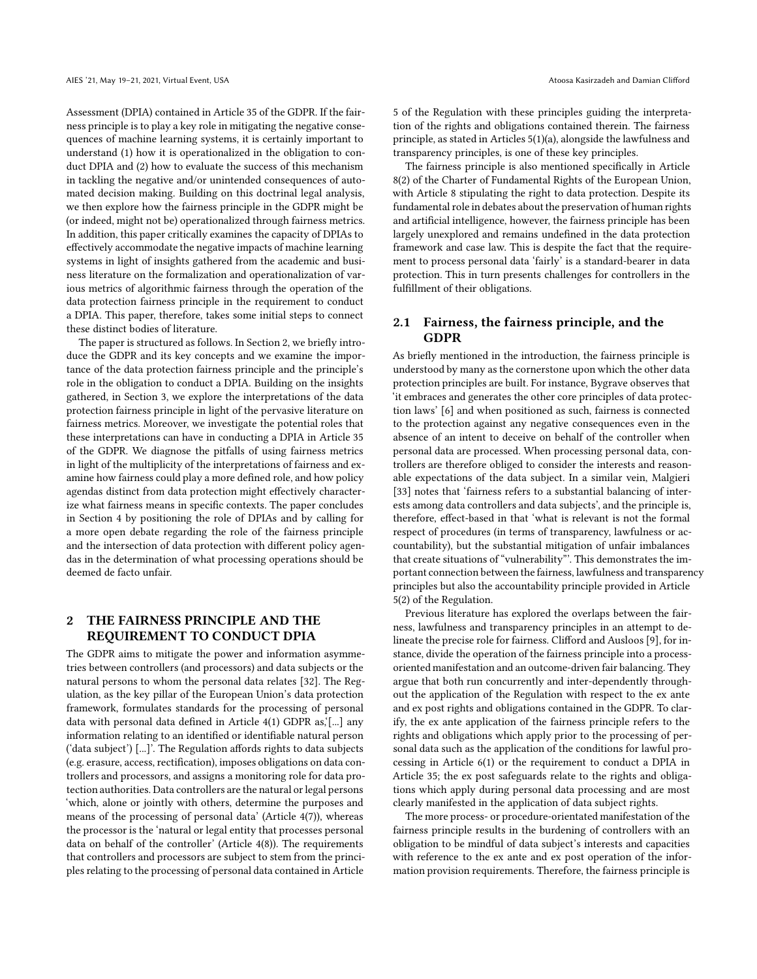Assessment (DPIA) contained in Article 35 of the GDPR. If the fairness principle is to play a key role in mitigating the negative consequences of machine learning systems, it is certainly important to understand (1) how it is operationalized in the obligation to conduct DPIA and (2) how to evaluate the success of this mechanism in tackling the negative and/or unintended consequences of automated decision making. Building on this doctrinal legal analysis, we then explore how the fairness principle in the GDPR might be (or indeed, might not be) operationalized through fairness metrics. In addition, this paper critically examines the capacity of DPIAs to effectively accommodate the negative impacts of machine learning systems in light of insights gathered from the academic and business literature on the formalization and operationalization of various metrics of algorithmic fairness through the operation of the data protection fairness principle in the requirement to conduct a DPIA. This paper, therefore, takes some initial steps to connect these distinct bodies of literature.

The paper is structured as follows. In Section 2, we briefly introduce the GDPR and its key concepts and we examine the importance of the data protection fairness principle and the principle's role in the obligation to conduct a DPIA. Building on the insights gathered, in Section 3, we explore the interpretations of the data protection fairness principle in light of the pervasive literature on fairness metrics. Moreover, we investigate the potential roles that these interpretations can have in conducting a DPIA in Article 35 of the GDPR. We diagnose the pitfalls of using fairness metrics in light of the multiplicity of the interpretations of fairness and examine how fairness could play a more defined role, and how policy agendas distinct from data protection might effectively characterize what fairness means in specific contexts. The paper concludes in Section 4 by positioning the role of DPIAs and by calling for a more open debate regarding the role of the fairness principle and the intersection of data protection with different policy agendas in the determination of what processing operations should be deemed de facto unfair.

## 2 THE FAIRNESS PRINCIPLE AND THE REQUIREMENT TO CONDUCT DPIA

The GDPR aims to mitigate the power and information asymmetries between controllers (and processors) and data subjects or the natural persons to whom the personal data relates [\[32](#page-7-7)]. The Regulation, as the key pillar of the European Union's data protection framework, formulates standards for the processing of personal data with personal data defined in Article 4(1) GDPR as,'[...] any information relating to an identified or identifiable natural person ('data subject') [...]'. The Regulation affords rights to data subjects (e.g. erasure, access, rectification), imposes obligations on data controllers and processors, and assigns a monitoring role for data protection authorities. Data controllers are the natural or legal persons 'which, alone or jointly with others, determine the purposes and means of the processing of personal data' (Article 4(7)), whereas the processor is the 'natural or legal entity that processes personal data on behalf of the controller' (Article 4(8)). The requirements that controllers and processors are subject to stem from the principles relating to the processing of personal data contained in Article

5 of the Regulation with these principles guiding the interpretation of the rights and obligations contained therein. The fairness principle, as stated in Articles 5(1)(a), alongside the lawfulness and transparency principles, is one of these key principles.

The fairness principle is also mentioned specifically in Article 8(2) of the Charter of Fundamental Rights of the European Union, with Article 8 stipulating the right to data protection. Despite its fundamental role in debates about the preservation of human rights and artificial intelligence, however, the fairness principle has been largely unexplored and remains undefined in the data protection framework and case law. This is despite the fact that the requirement to process personal data 'fairly' is a standard-bearer in data protection. This in turn presents challenges for controllers in the fulfillment of their obligations.

### 2.1 Fairness, the fairness principle, and the GDPR

As briefly mentioned in the introduction, the fairness principle is understood by many as the cornerstone upon which the other data protection principles are built. For instance, Bygrave observes that 'it embraces and generates the other core principles of data protection laws' [\[6](#page-6-6)] and when positioned as such, fairness is connected to the protection against any negative consequences even in the absence of an intent to deceive on behalf of the controller when personal data are processed. When processing personal data, controllers are therefore obliged to consider the interests and reasonable expectations of the data subject. In a similar vein, Malgieri [\[33\]](#page-7-8) notes that 'fairness refers to a substantial balancing of interests among data controllers and data subjects', and the principle is, therefore, effect-based in that 'what is relevant is not the formal respect of procedures (in terms of transparency, lawfulness or accountability), but the substantial mitigation of unfair imbalances that create situations of "vulnerability"'. This demonstrates the important connection between the fairness, lawfulness and transparency principles but also the accountability principle provided in Article 5(2) of the Regulation.

Previous literature has explored the overlaps between the fairness, lawfulness and transparency principles in an attempt to delineate the precise role for fairness. Clifford and Ausloos [\[9\]](#page-6-7), for instance, divide the operation of the fairness principle into a processoriented manifestation and an outcome-driven fair balancing. They argue that both run concurrently and inter-dependently throughout the application of the Regulation with respect to the ex ante and ex post rights and obligations contained in the GDPR. To clarify, the ex ante application of the fairness principle refers to the rights and obligations which apply prior to the processing of personal data such as the application of the conditions for lawful processing in Article 6(1) or the requirement to conduct a DPIA in Article 35; the ex post safeguards relate to the rights and obligations which apply during personal data processing and are most clearly manifested in the application of data subject rights.

The more process- or procedure-orientated manifestation of the fairness principle results in the burdening of controllers with an obligation to be mindful of data subject's interests and capacities with reference to the ex ante and ex post operation of the information provision requirements. Therefore, the fairness principle is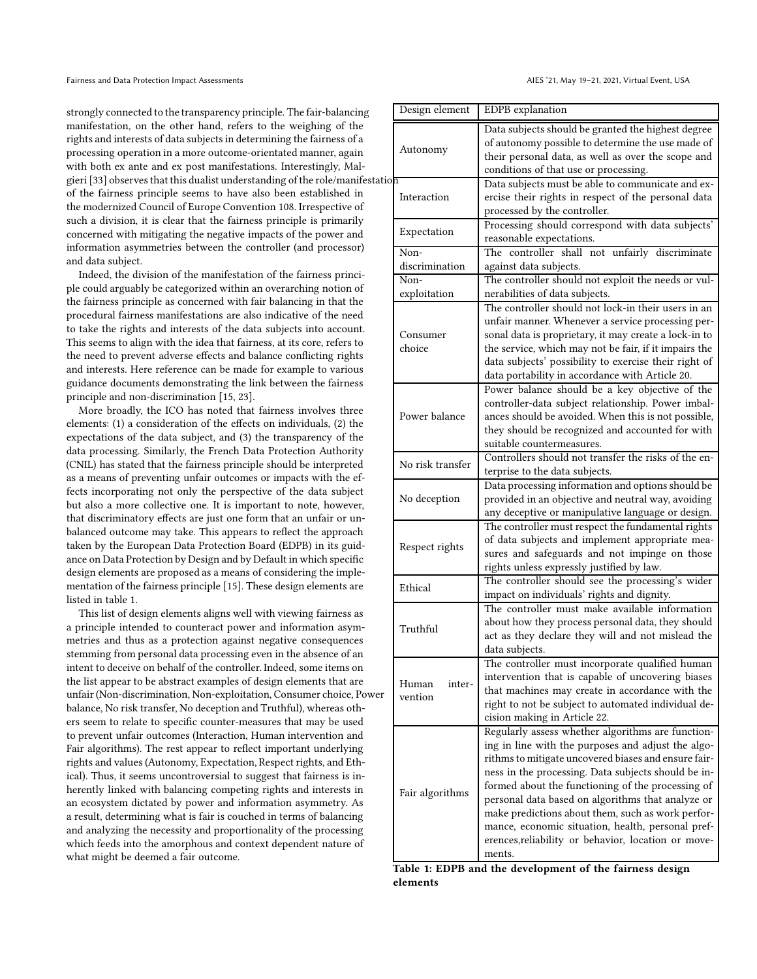strongly connected to the transparency principle. The fair-balancing manifestation, on the other hand, refers to the weighing of the rights and interests of data subjects in determining the fairness of a processing operation in a more outcome-orientated manner, again with both ex ante and ex post manifestations. Interestingly, Mal-gieri [\[33\]](#page-7-8) observes that this dualist understanding of the role/manifestation of the fairness principle seems to have also been established in the modernized Council of Europe Convention 108. Irrespective of such a division, it is clear that the fairness principle is primarily concerned with mitigating the negative impacts of the power and information asymmetries between the controller (and processor) and data subject.

Indeed, the division of the manifestation of the fairness principle could arguably be categorized within an overarching notion of the fairness principle as concerned with fair balancing in that the procedural fairness manifestations are also indicative of the need to take the rights and interests of the data subjects into account. This seems to align with the idea that fairness, at its core, refers to the need to prevent adverse effects and balance conflicting rights and interests. Here reference can be made for example to various guidance documents demonstrating the link between the fairness principle and non-discrimination [\[15,](#page-6-8) [23](#page-6-4)].

More broadly, the ICO has noted that fairness involves three elements: (1) a consideration of the effects on individuals, (2) the expectations of the data subject, and (3) the transparency of the data processing. Similarly, the French Data Protection Authority (CNIL) has stated that the fairness principle should be interpreted as a means of preventing unfair outcomes or impacts with the effects incorporating not only the perspective of the data subject but also a more collective one. It is important to note, however, that discriminatory effects are just one form that an unfair or unbalanced outcome may take. This appears to reflect the approach taken by the European Data Protection Board (EDPB) in its guidance on Data Protection by Design and by Default in which specific design elements are proposed as a means of considering the implementation of the fairness principle [\[15](#page-6-8)]. These design elements are listed in table 1.

This list of design elements aligns well with viewing fairness as a principle intended to counteract power and information asymmetries and thus as a protection against negative consequences stemming from personal data processing even in the absence of an intent to deceive on behalf of the controller. Indeed, some items on the list appear to be abstract examples of design elements that are unfair (Non-discrimination, Non-exploitation, Consumer choice, Power balance, No risk transfer, No deception and Truthful), whereas others seem to relate to specific counter-measures that may be used to prevent unfair outcomes (Interaction, Human intervention and Fair algorithms). The rest appear to reflect important underlying rights and values (Autonomy, Expectation, Respect rights, and Ethical). Thus, it seems uncontroversial to suggest that fairness is inherently linked with balancing competing rights and interests in an ecosystem dictated by power and information asymmetry. As a result, determining what is fair is couched in terms of balancing and analyzing the necessity and proportionality of the processing which feeds into the amorphous and context dependent nature of what might be deemed a fair outcome.

| Design element             | EDPB explanation                                                              |
|----------------------------|-------------------------------------------------------------------------------|
| Autonomy                   | Data subjects should be granted the highest degree                            |
|                            | of autonomy possible to determine the use made of                             |
|                            | their personal data, as well as over the scope and                            |
|                            | conditions of that use or processing.                                         |
| эn<br>Interaction          | Data subjects must be able to communicate and ex-                             |
|                            | ercise their rights in respect of the personal data                           |
|                            | processed by the controller.                                                  |
| Expectation                | Processing should correspond with data subjects'                              |
|                            | reasonable expectations.                                                      |
| Non-<br>discrimination     | The controller shall not unfairly discriminate                                |
| Non-                       | against data subjects.<br>The controller should not exploit the needs or vul- |
| exploitation               | nerabilities of data subjects.                                                |
|                            | The controller should not lock-in their users in an                           |
| Consumer<br>choice         | unfair manner. Whenever a service processing per-                             |
|                            | sonal data is proprietary, it may create a lock-in to                         |
|                            | the service, which may not be fair, if it impairs the                         |
|                            | data subjects' possibility to exercise their right of                         |
|                            | data portability in accordance with Article 20.                               |
|                            | Power balance should be a key objective of the                                |
| Power balance              | controller-data subject relationship. Power imbal-                            |
|                            | ances should be avoided. When this is not possible,                           |
|                            | they should be recognized and accounted for with                              |
|                            | suitable countermeasures.                                                     |
|                            | Controllers should not transfer the risks of the en-                          |
| No risk transfer           | terprise to the data subjects.                                                |
| No deception               | Data processing information and options should be                             |
|                            | provided in an objective and neutral way, avoiding                            |
|                            | any deceptive or manipulative language or design.                             |
| Respect rights             | The controller must respect the fundamental rights                            |
|                            | of data subjects and implement appropriate mea-                               |
|                            | sures and safeguards and not impinge on those                                 |
|                            | rights unless expressly justified by law.                                     |
| Ethical                    | The controller should see the processing's wider                              |
|                            | impact on individuals' rights and dignity.                                    |
| Truthful                   | The controller must make available information                                |
|                            | about how they process personal data, they should                             |
|                            | act as they declare they will and not mislead the                             |
|                            | data subjects.                                                                |
| Human<br>inter-<br>vention | The controller must incorporate qualified human                               |
|                            | intervention that is capable of uncovering biases                             |
|                            | that machines may create in accordance with the                               |
|                            | right to not be subject to automated individual de-                           |
|                            | cision making in Article 22.                                                  |
| Fair algorithms            | Regularly assess whether algorithms are function-                             |
|                            | ing in line with the purposes and adjust the algo-                            |
|                            | rithms to mitigate uncovered biases and ensure fair-                          |
|                            | ness in the processing. Data subjects should be in-                           |
|                            | formed about the functioning of the processing of                             |
|                            | personal data based on algorithms that analyze or                             |
|                            | make predictions about them, such as work perfor-                             |
|                            | mance, economic situation, health, personal pref-                             |
|                            | erences, reliability or behavior, location or move-                           |
|                            | ments.                                                                        |

Table 1: EDPB and the development of the fairness design elements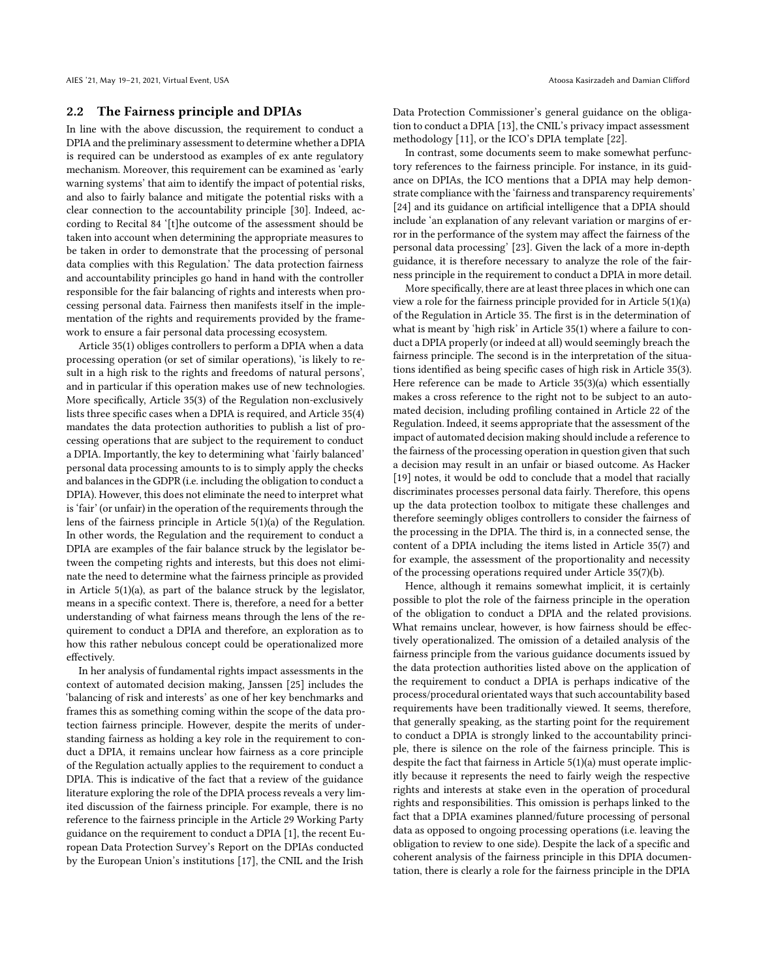#### 2.2 The Fairness principle and DPIAs

In line with the above discussion, the requirement to conduct a DPIA and the preliminary assessment to determine whether a DPIA is required can be understood as examples of ex ante regulatory mechanism. Moreover, this requirement can be examined as 'early warning systems' that aim to identify the impact of potential risks, and also to fairly balance and mitigate the potential risks with a clear connection to the accountability principle [\[30](#page-7-9)]. Indeed, according to Recital 84 '[t]he outcome of the assessment should be taken into account when determining the appropriate measures to be taken in order to demonstrate that the processing of personal data complies with this Regulation.' The data protection fairness and accountability principles go hand in hand with the controller responsible for the fair balancing of rights and interests when processing personal data. Fairness then manifests itself in the implementation of the rights and requirements provided by the framework to ensure a fair personal data processing ecosystem.

Article 35(1) obliges controllers to perform a DPIA when a data processing operation (or set of similar operations), 'is likely to result in a high risk to the rights and freedoms of natural persons', and in particular if this operation makes use of new technologies. More specifically, Article 35(3) of the Regulation non-exclusively lists three specific cases when a DPIA is required, and Article 35(4) mandates the data protection authorities to publish a list of processing operations that are subject to the requirement to conduct a DPIA. Importantly, the key to determining what 'fairly balanced' personal data processing amounts to is to simply apply the checks and balances in the GDPR (i.e. including the obligation to conduct a DPIA). However, this does not eliminate the need to interpret what is 'fair' (or unfair) in the operation of the requirements through the lens of the fairness principle in Article 5(1)(a) of the Regulation. In other words, the Regulation and the requirement to conduct a DPIA are examples of the fair balance struck by the legislator between the competing rights and interests, but this does not eliminate the need to determine what the fairness principle as provided in Article 5(1)(a), as part of the balance struck by the legislator, means in a specific context. There is, therefore, a need for a better understanding of what fairness means through the lens of the requirement to conduct a DPIA and therefore, an exploration as to how this rather nebulous concept could be operationalized more effectively.

In her analysis of fundamental rights impact assessments in the context of automated decision making, Janssen [\[25](#page-6-9)] includes the 'balancing of risk and interests' as one of her key benchmarks and frames this as something coming within the scope of the data protection fairness principle. However, despite the merits of understanding fairness as holding a key role in the requirement to conduct a DPIA, it remains unclear how fairness as a core principle of the Regulation actually applies to the requirement to conduct a DPIA. This is indicative of the fact that a review of the guidance literature exploring the role of the DPIA process reveals a very limited discussion of the fairness principle. For example, there is no reference to the fairness principle in the Article 29 Working Party guidance on the requirement to conduct a DPIA [\[1\]](#page-6-10), the recent European Data Protection Survey's Report on the DPIAs conducted by the European Union's institutions [\[17\]](#page-6-11), the CNIL and the Irish

Data Protection Commissioner's general guidance on the obligation to conduct a DPIA [\[13\]](#page-6-12), the CNIL's privacy impact assessment methodology [\[11](#page-6-13)], or the ICO's DPIA template [\[22](#page-6-14)].

In contrast, some documents seem to make somewhat perfunctory references to the fairness principle. For instance, in its guidance on DPIAs, the ICO mentions that a DPIA may help demonstrate compliance with the 'fairness and transparency requirements' [\[24\]](#page-6-15) and its guidance on artificial intelligence that a DPIA should include 'an explanation of any relevant variation or margins of error in the performance of the system may affect the fairness of the personal data processing' [\[23\]](#page-6-4). Given the lack of a more in-depth guidance, it is therefore necessary to analyze the role of the fairness principle in the requirement to conduct a DPIA in more detail.

More specifically, there are at least three places in which one can view a role for the fairness principle provided for in Article 5(1)(a) of the Regulation in Article 35. The first is in the determination of what is meant by 'high risk' in Article 35(1) where a failure to conduct a DPIA properly (or indeed at all) would seemingly breach the fairness principle. The second is in the interpretation of the situations identified as being specific cases of high risk in Article 35(3). Here reference can be made to Article 35(3)(a) which essentially makes a cross reference to the right not to be subject to an automated decision, including profiling contained in Article 22 of the Regulation. Indeed, it seems appropriate that the assessment of the impact of automated decision making should include a reference to the fairness of the processing operation in question given that such a decision may result in an unfair or biased outcome. As Hacker [\[19\]](#page-6-16) notes, it would be odd to conclude that a model that racially discriminates processes personal data fairly. Therefore, this opens up the data protection toolbox to mitigate these challenges and therefore seemingly obliges controllers to consider the fairness of the processing in the DPIA. The third is, in a connected sense, the content of a DPIA including the items listed in Article 35(7) and for example, the assessment of the proportionality and necessity of the processing operations required under Article 35(7)(b).

Hence, although it remains somewhat implicit, it is certainly possible to plot the role of the fairness principle in the operation of the obligation to conduct a DPIA and the related provisions. What remains unclear, however, is how fairness should be effectively operationalized. The omission of a detailed analysis of the fairness principle from the various guidance documents issued by the data protection authorities listed above on the application of the requirement to conduct a DPIA is perhaps indicative of the process/procedural orientated ways that such accountability based requirements have been traditionally viewed. It seems, therefore, that generally speaking, as the starting point for the requirement to conduct a DPIA is strongly linked to the accountability principle, there is silence on the role of the fairness principle. This is despite the fact that fairness in Article 5(1)(a) must operate implicitly because it represents the need to fairly weigh the respective rights and interests at stake even in the operation of procedural rights and responsibilities. This omission is perhaps linked to the fact that a DPIA examines planned/future processing of personal data as opposed to ongoing processing operations (i.e. leaving the obligation to review to one side). Despite the lack of a specific and coherent analysis of the fairness principle in this DPIA documentation, there is clearly a role for the fairness principle in the DPIA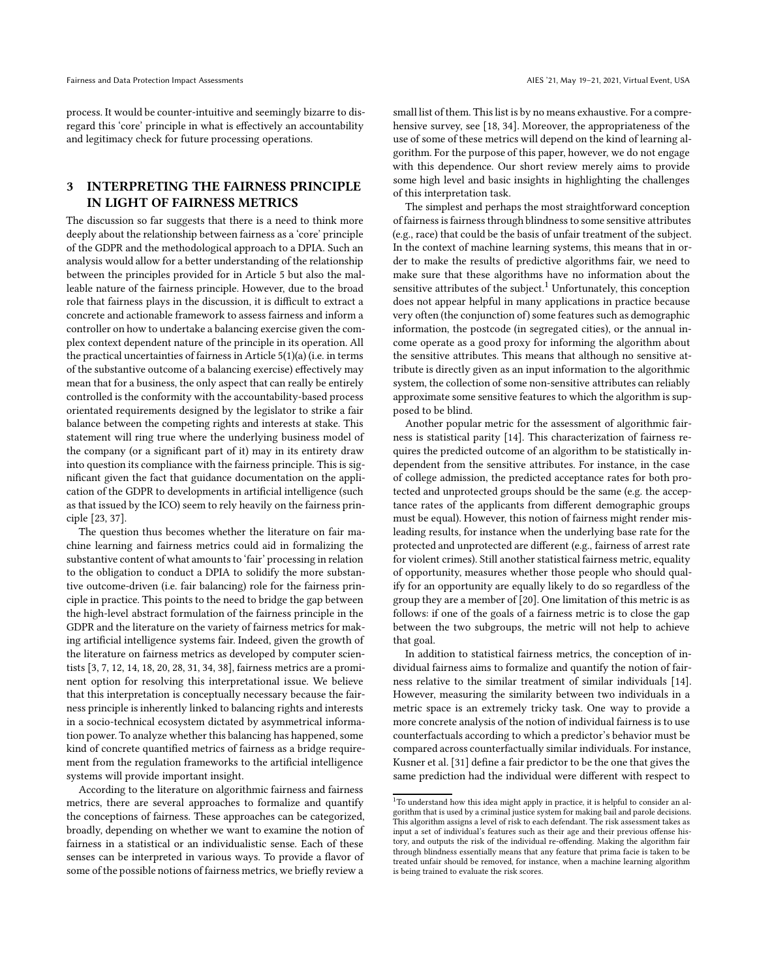process. It would be counter-intuitive and seemingly bizarre to disregard this 'core' principle in what is effectively an accountability and legitimacy check for future processing operations.

## 3 INTERPRETING THE FAIRNESS PRINCIPLE IN LIGHT OF FAIRNESS METRICS

The discussion so far suggests that there is a need to think more deeply about the relationship between fairness as a 'core' principle of the GDPR and the methodological approach to a DPIA. Such an analysis would allow for a better understanding of the relationship between the principles provided for in Article 5 but also the malleable nature of the fairness principle. However, due to the broad role that fairness plays in the discussion, it is difficult to extract a concrete and actionable framework to assess fairness and inform a controller on how to undertake a balancing exercise given the complex context dependent nature of the principle in its operation. All the practical uncertainties of fairness in Article 5(1)(a) (i.e. in terms of the substantive outcome of a balancing exercise) effectively may mean that for a business, the only aspect that can really be entirely controlled is the conformity with the accountability-based process orientated requirements designed by the legislator to strike a fair balance between the competing rights and interests at stake. This statement will ring true where the underlying business model of the company (or a significant part of it) may in its entirety draw into question its compliance with the fairness principle. This is significant given the fact that guidance documentation on the application of the GDPR to developments in artificial intelligence (such as that issued by the ICO) seem to rely heavily on the fairness principle [\[23,](#page-6-4) [37](#page-7-6)].

The question thus becomes whether the literature on fair machine learning and fairness metrics could aid in formalizing the substantive content of what amounts to 'fair' processing in relation to the obligation to conduct a DPIA to solidify the more substantive outcome-driven (i.e. fair balancing) role for the fairness principle in practice. This points to the need to bridge the gap between the high-level abstract formulation of the fairness principle in the GDPR and the literature on the variety of fairness metrics for making artificial intelligence systems fair. Indeed, given the growth of the literature on fairness metrics as developed by computer scientists [\[3](#page-6-17), [7](#page-6-18), [12,](#page-6-19) [14,](#page-6-20) [18](#page-6-3), [20](#page-6-21), [28,](#page-7-10) [31,](#page-7-11) [34](#page-7-3), [38\]](#page-7-12), fairness metrics are a prominent option for resolving this interpretational issue. We believe that this interpretation is conceptually necessary because the fairness principle is inherently linked to balancing rights and interests in a socio-technical ecosystem dictated by asymmetrical information power. To analyze whether this balancing has happened, some kind of concrete quantified metrics of fairness as a bridge requirement from the regulation frameworks to the artificial intelligence systems will provide important insight.

According to the literature on algorithmic fairness and fairness metrics, there are several approaches to formalize and quantify the conceptions of fairness. These approaches can be categorized, broadly, depending on whether we want to examine the notion of fairness in a statistical or an individualistic sense. Each of these senses can be interpreted in various ways. To provide a flavor of some of the possible notions of fairness metrics, we briefly review a

small list of them. This list is by no means exhaustive. For a comprehensive survey, see [\[18](#page-6-3), [34](#page-7-3)]. Moreover, the appropriateness of the use of some of these metrics will depend on the kind of learning algorithm. For the purpose of this paper, however, we do not engage with this dependence. Our short review merely aims to provide some high level and basic insights in highlighting the challenges of this interpretation task.

The simplest and perhaps the most straightforward conception of fairness is fairness through blindness to some sensitive attributes (e.g., race) that could be the basis of unfair treatment of the subject. In the context of machine learning systems, this means that in order to make the results of predictive algorithms fair, we need to make sure that these algorithms have no information about the sensitive attributes of the subject.<sup>[1](#page-4-0)</sup> Unfortunately, this conception does not appear helpful in many applications in practice because very often (the conjunction of) some features such as demographic information, the postcode (in segregated cities), or the annual income operate as a good proxy for informing the algorithm about the sensitive attributes. This means that although no sensitive attribute is directly given as an input information to the algorithmic system, the collection of some non-sensitive attributes can reliably approximate some sensitive features to which the algorithm is supposed to be blind.

Another popular metric for the assessment of algorithmic fairness is statistical parity [\[14](#page-6-20)]. This characterization of fairness requires the predicted outcome of an algorithm to be statistically independent from the sensitive attributes. For instance, in the case of college admission, the predicted acceptance rates for both protected and unprotected groups should be the same (e.g. the acceptance rates of the applicants from different demographic groups must be equal). However, this notion of fairness might render misleading results, for instance when the underlying base rate for the protected and unprotected are different (e.g., fairness of arrest rate for violent crimes). Still another statistical fairness metric, equality of opportunity, measures whether those people who should qualify for an opportunity are equally likely to do so regardless of the group they are a member of [\[20](#page-6-21)]. One limitation of this metric is as follows: if one of the goals of a fairness metric is to close the gap between the two subgroups, the metric will not help to achieve that goal.

In addition to statistical fairness metrics, the conception of individual fairness aims to formalize and quantify the notion of fairness relative to the similar treatment of similar individuals [\[14\]](#page-6-20). However, measuring the similarity between two individuals in a metric space is an extremely tricky task. One way to provide a more concrete analysis of the notion of individual fairness is to use counterfactuals according to which a predictor's behavior must be compared across counterfactually similar individuals. For instance, Kusner et al. [\[31](#page-7-11)] define a fair predictor to be the one that gives the same prediction had the individual were different with respect to

<span id="page-4-0"></span> $^{\rm 1}$  To understand how this idea might apply in practice, it is helpful to consider an algorithm that is used by a criminal justice system for making bail and parole decisions. This algorithm assigns a level of risk to each defendant. The risk assessment takes as input a set of individual's features such as their age and their previous offense history, and outputs the risk of the individual re-offending. Making the algorithm fair through blindness essentially means that any feature that prima facie is taken to be treated unfair should be removed, for instance, when a machine learning algorithm is being trained to evaluate the risk scores.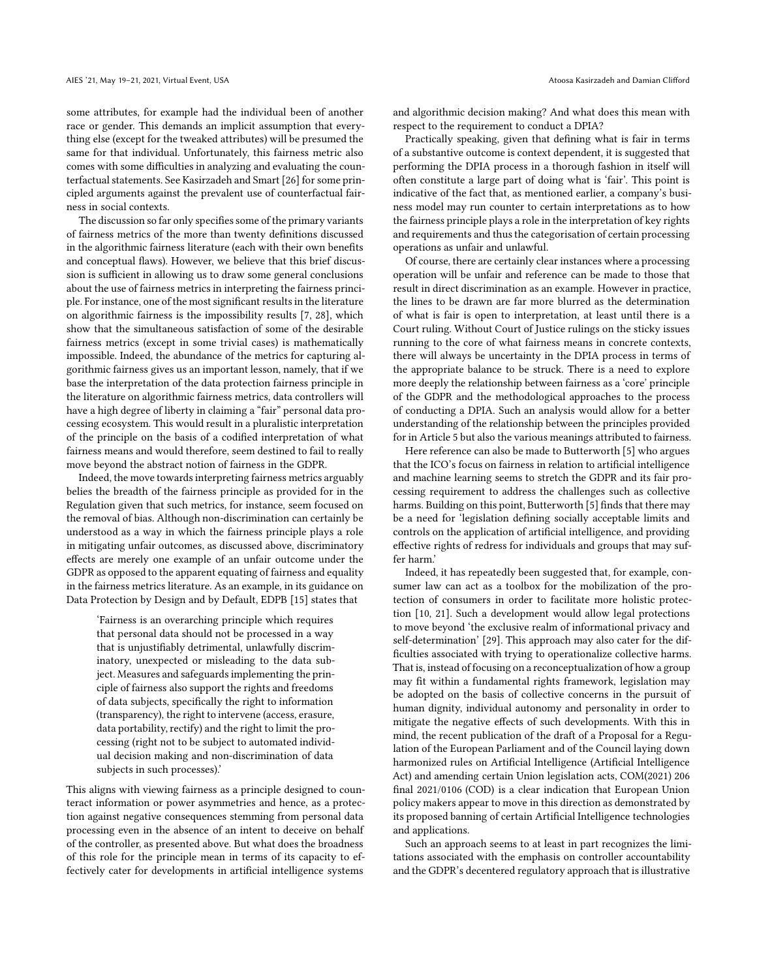some attributes, for example had the individual been of another race or gender. This demands an implicit assumption that everything else (except for the tweaked attributes) will be presumed the same for that individual. Unfortunately, this fairness metric also comes with some difficulties in analyzing and evaluating the counterfactual statements. See Kasirzadeh and Smart [\[26\]](#page-7-13) for some principled arguments against the prevalent use of counterfactual fairness in social contexts.

The discussion so far only specifies some of the primary variants of fairness metrics of the more than twenty definitions discussed in the algorithmic fairness literature (each with their own benefits and conceptual flaws). However, we believe that this brief discussion is sufficient in allowing us to draw some general conclusions about the use of fairness metrics in interpreting the fairness principle. For instance, one of the most significant results in the literature on algorithmic fairness is the impossibility results [\[7](#page-6-18), [28\]](#page-7-10), which show that the simultaneous satisfaction of some of the desirable fairness metrics (except in some trivial cases) is mathematically impossible. Indeed, the abundance of the metrics for capturing algorithmic fairness gives us an important lesson, namely, that if we base the interpretation of the data protection fairness principle in the literature on algorithmic fairness metrics, data controllers will have a high degree of liberty in claiming a "fair" personal data processing ecosystem. This would result in a pluralistic interpretation of the principle on the basis of a codified interpretation of what fairness means and would therefore, seem destined to fail to really move beyond the abstract notion of fairness in the GDPR.

Indeed, the move towards interpreting fairness metrics arguably belies the breadth of the fairness principle as provided for in the Regulation given that such metrics, for instance, seem focused on the removal of bias. Although non-discrimination can certainly be understood as a way in which the fairness principle plays a role in mitigating unfair outcomes, as discussed above, discriminatory effects are merely one example of an unfair outcome under the GDPR as opposed to the apparent equating of fairness and equality in the fairness metrics literature. As an example, in its guidance on Data Protection by Design and by Default, EDPB [\[15](#page-6-8)] states that

'Fairness is an overarching principle which requires that personal data should not be processed in a way that is unjustifiably detrimental, unlawfully discriminatory, unexpected or misleading to the data subject. Measures and safeguards implementing the principle of fairness also support the rights and freedoms of data subjects, specifically the right to information (transparency), the right to intervene (access, erasure, data portability, rectify) and the right to limit the processing (right not to be subject to automated individual decision making and non-discrimination of data subjects in such processes).'

This aligns with viewing fairness as a principle designed to counteract information or power asymmetries and hence, as a protection against negative consequences stemming from personal data processing even in the absence of an intent to deceive on behalf of the controller, as presented above. But what does the broadness of this role for the principle mean in terms of its capacity to effectively cater for developments in artificial intelligence systems

and algorithmic decision making? And what does this mean with respect to the requirement to conduct a DPIA?

Practically speaking, given that defining what is fair in terms of a substantive outcome is context dependent, it is suggested that performing the DPIA process in a thorough fashion in itself will often constitute a large part of doing what is 'fair'. This point is indicative of the fact that, as mentioned earlier, a company's business model may run counter to certain interpretations as to how the fairness principle plays a role in the interpretation of key rights and requirements and thus the categorisation of certain processing operations as unfair and unlawful.

Of course, there are certainly clear instances where a processing operation will be unfair and reference can be made to those that result in direct discrimination as an example. However in practice, the lines to be drawn are far more blurred as the determination of what is fair is open to interpretation, at least until there is a Court ruling. Without Court of Justice rulings on the sticky issues running to the core of what fairness means in concrete contexts, there will always be uncertainty in the DPIA process in terms of the appropriate balance to be struck. There is a need to explore more deeply the relationship between fairness as a 'core' principle of the GDPR and the methodological approaches to the process of conducting a DPIA. Such an analysis would allow for a better understanding of the relationship between the principles provided for in Article 5 but also the various meanings attributed to fairness.

Here reference can also be made to Butterworth [\[5\]](#page-6-22) who argues that the ICO's focus on fairness in relation to artificial intelligence and machine learning seems to stretch the GDPR and its fair processing requirement to address the challenges such as collective harms. Building on this point, Butterworth [\[5](#page-6-22)] finds that there may be a need for 'legislation defining socially acceptable limits and controls on the application of artificial intelligence, and providing effective rights of redress for individuals and groups that may suffer harm.'

Indeed, it has repeatedly been suggested that, for example, consumer law can act as a toolbox for the mobilization of the protection of consumers in order to facilitate more holistic protection [\[10](#page-6-23), [21\]](#page-6-24). Such a development would allow legal protections to move beyond 'the exclusive realm of informational privacy and self-determination' [\[29\]](#page-7-14). This approach may also cater for the difficulties associated with trying to operationalize collective harms. That is, instead of focusing on a reconceptualization of how a group may fit within a fundamental rights framework, legislation may be adopted on the basis of collective concerns in the pursuit of human dignity, individual autonomy and personality in order to mitigate the negative effects of such developments. With this in mind, the recent publication of the draft of a Proposal for a Regulation of the European Parliament and of the Council laying down harmonized rules on Artificial Intelligence (Artificial Intelligence Act) and amending certain Union legislation acts, COM(2021) 206 final 2021/0106 (COD) is a clear indication that European Union policy makers appear to move in this direction as demonstrated by its proposed banning of certain Artificial Intelligence technologies and applications.

Such an approach seems to at least in part recognizes the limitations associated with the emphasis on controller accountability and the GDPR's decentered regulatory approach that is illustrative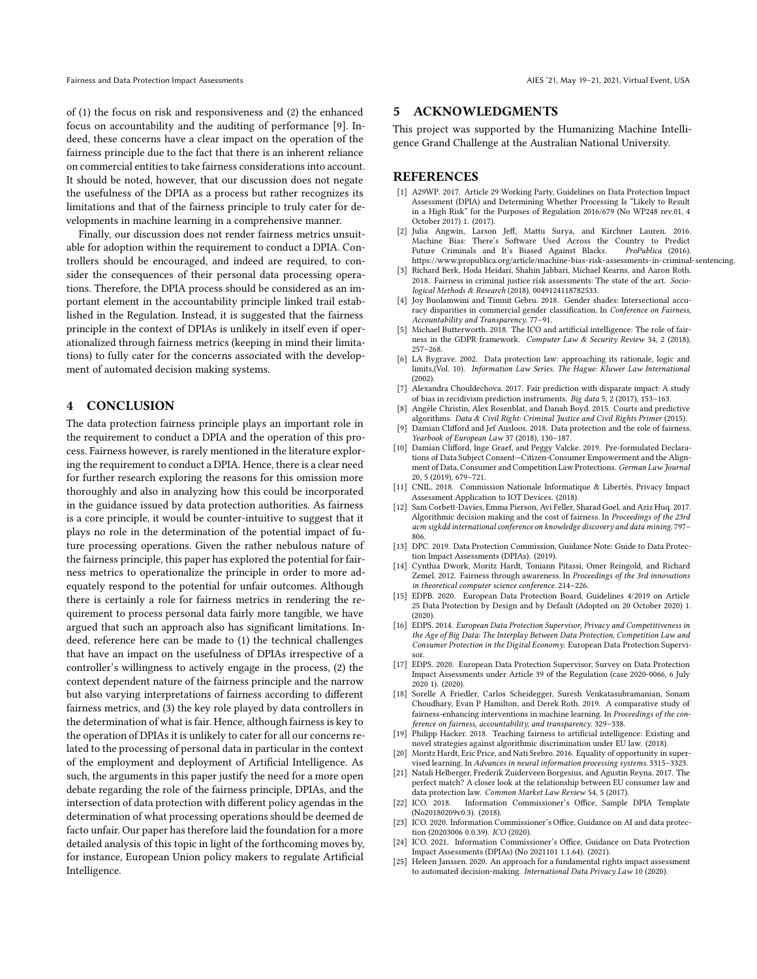of (1) the focus on risk and responsiveness and (2) the enhanced focus on accountability and the auditing of performance [\[9\]](#page-6-7). Indeed, these concerns have a clear impact on the operation of the fairness principle due to the fact that there is an inherent reliance on commercial entities to take fairness considerations into account. It should be noted, however, that our discussion does not negate the usefulness of the DPIA as a process but rather recognizes its limitations and that of the fairness principle to truly cater for developments in machine learning in a comprehensive manner.

Finally, our discussion does not render fairness metrics unsuitable for adoption within the requirement to conduct a DPIA. Controllers should be encouraged, and indeed are required, to consider the consequences of their personal data processing operations. Therefore, the DPIA process should be considered as an important element in the accountability principle linked trail established in the Regulation. Instead, it is suggested that the fairness principle in the context of DPIAs is unlikely in itself even if operationalized through fairness metrics (keeping in mind their limitations) to fully cater for the concerns associated with the development of automated decision making systems.

# 4 CONCLUSION

The data protection fairness principle plays an important role in the requirement to conduct a DPIA and the operation of this process. Fairness however, is rarely mentioned in the literature exploring the requirement to conduct a DPIA. Hence, there is a clear need for further research exploring the reasons for this omission more thoroughly and also in analyzing how this could be incorporated in the guidance issued by data protection authorities. As fairness is a core principle, it would be counter-intuitive to suggest that it plays no role in the determination of the potential impact of future processing operations. Given the rather nebulous nature of the fairness principle, this paper has explored the potential for fairness metrics to operationalize the principle in order to more adequately respond to the potential for unfair outcomes. Although there is certainly a role for fairness metrics in rendering the requirement to process personal data fairly more tangible, we have argued that such an approach also has significant limitations. Indeed, reference here can be made to (1) the technical challenges that have an impact on the usefulness of DPIAs irrespective of a controller's willingness to actively engage in the process, (2) the context dependent nature of the fairness principle and the narrow but also varying interpretations of fairness according to different fairness metrics, and (3) the key role played by data controllers in the determination of what is fair. Hence, although fairness is key to the operation of DPIAs it is unlikely to cater for all our concerns related to the processing of personal data in particular in the context of the employment and deployment of Artificial Intelligence. As such, the arguments in this paper justify the need for a more open debate regarding the role of the fairness principle, DPIAs, and the intersection of data protection with different policy agendas in the determination of what processing operations should be deemed de facto unfair. Our paper has therefore laid the foundation for a more detailed analysis of this topic in light of the forthcoming moves by, for instance, European Union policy makers to regulate Artificial Intelligence.

#### 5 ACKNOWLEDGMENTS

This project was supported by the Humanizing Machine Intelligence Grand Challenge at the Australian National University.

#### REFERENCES

- <span id="page-6-10"></span>[1] A29WP. 2017. Article 29 Working Party, Guidelines on Data Protection Impact Assessment (DPIA) and Determining Whether Processing Is "Likely to Result in a High Risk" for the Purposes of Regulation 2016/679 (No WP248 rev.01, 4 October 2017) 1. (2017).
- <span id="page-6-1"></span>[2] Julia Angwin, Larson Jeff, Mattu Surya, and Kirchner Lauren. 2016. Machine Bias: There's Software Used Across the Country to Predict<br>Future Criminals and It's Biased Against Blacks. ProPublica (2016). Future Criminals and It's Biased Against Blacks. <https://www.propublica.org/article/machine-bias-risk-assessments-in-criminal-sentencing.>
- <span id="page-6-17"></span>[3] Richard Berk, Hoda Heidari, Shahin Jabbari, Michael Kearns, and Aaron Roth. 2018. Fairness in criminal justice risk assessments: The state of the art. *Sociological Methods & Research* (2018), 0049124118782533.
- <span id="page-6-0"></span>[4] Joy Buolamwini and Timnit Gebru. 2018. Gender shades: Intersectional accuracy disparities in commercial gender classification. In *Conference on Fairness, Accountability and Transparency*. 77–91.
- <span id="page-6-22"></span>[5] Michael Butterworth. 2018. The ICO and artificial intelligence: The role of fairness in the GDPR framework. *Computer Law & Security Review* 34, 2 (2018), 257–268.
- <span id="page-6-6"></span>[6] LA Bygrave. 2002. Data protection law: approaching its rationale, logic and limits,(Vol. 10). *Information Law Series. The Hague: Kluwer Law International* (2002).
- <span id="page-6-18"></span>[7] Alexandra Chouldechova. 2017. Fair prediction with disparate impact: A study of bias in recidivism prediction instruments. *Big data* 5, 2 (2017), 153–163.
- <span id="page-6-2"></span>[8] Angèle Christin, Alex Rosenblat, and Danah Boyd. 2015. Courts and predictive algorithms. *Data & Civil Right: Criminal Justice and Civil Rights Primer* (2015).
- <span id="page-6-7"></span>[9] Damian Clifford and Jef Ausloos. 2018. Data protection and the role of fairness. *Yearbook of European Law* 37 (2018), 130–187.
- <span id="page-6-23"></span>[10] Damian Clifford, Inge Graef, and Peggy Valcke. 2019. Pre-formulated Declarations of Data Subject Consent—Citizen-Consumer Empowerment and the Alignment of Data, Consumer and Competition Law Protections. *German Law Journal* 20, 5 (2019), 679–721.
- <span id="page-6-13"></span>[11] CNIL. 2018. Commission Nationale Informatique & Libertés, Privacy Impact Assessment Application to IOT Devices. (2018).
- <span id="page-6-19"></span>[12] Sam Corbett-Davies, Emma Pierson, Avi Feller, Sharad Goel, and Aziz Huq. 2017. Algorithmic decision making and the cost of fairness. In *Proceedings of the 23rd acm sigkdd international conference on knowledge discovery and data mining*. 797– 806.
- <span id="page-6-12"></span>[13] DPC. 2019. Data Protection Commission, Guidance Note: Guide to Data Protection Impact Assessments (DPIAs). (2019).
- <span id="page-6-20"></span>[14] Cynthia Dwork, Moritz Hardt, Toniann Pitassi, Omer Reingold, and Richard Zemel. 2012. Fairness through awareness. In *Proceedings of the 3rd innovations in theoretical computer science conference*. 214–226.
- <span id="page-6-8"></span>[15] EDPB. 2020. European Data Protection Board, Guidelines 4/2019 on Article 25 Data Protection by Design and by Default (Adopted on 20 October 2020) 1. (2020).
- <span id="page-6-5"></span>[16] EDPS. 2014. *European Data Protection Supervisor, Privacy and Competitiveness in the Age of Big Data: The Interplay Between Data Protection, Competition Law and Consumer Protection in the Digital Economy*. European Data Protection Supervisor.
- <span id="page-6-11"></span>[17] EDPS. 2020. European Data Protection Supervisor, Survey on Data Protection Impact Assessments under Article 39 of the Regulation (case 2020-0066, 6 July 2020 1). (2020).
- <span id="page-6-3"></span>[18] Sorelle A Friedler, Carlos Scheidegger, Suresh Venkatasubramanian, Sonam Choudhary, Evan P Hamilton, and Derek Roth. 2019. A comparative study of fairness-enhancing interventions in machine learning. In *Proceedings of the conference on fairness, accountability, and transparency*. 329–338.
- <span id="page-6-16"></span>[19] Philipp Hacker. 2018. Teaching fairness to artificial intelligence: Existing and novel strategies against algorithmic discrimination under EU law. (2018).
- <span id="page-6-21"></span>[20] Moritz Hardt, Eric Price, and Nati Srebro. 2016. Equality of opportunity in supervised learning. In *Advances in neural information processing systems*. 3315–3323.
- <span id="page-6-24"></span>[21] Natali Helberger, Frederik Zuiderveen Borgesius, and Agustin Reyna. 2017. The perfect match? A closer look at the relationship between EU consumer law and data protection law. *Common Market Law Review* 54, 5 (2017).<br>[22] ICO. 2018. Information Commissioner's Office, Sample
- <span id="page-6-14"></span>Information Commissioner's Office, Sample DPIA Template (No20180209v0.3). (2018).
- <span id="page-6-4"></span>[23] ICO. 2020. Information Commissioner's Office, Guidance on AI and data protection (20203006 0.0.39). *ICO* (2020).
- <span id="page-6-15"></span>[24] ICO. 2021. Information Commissioner's Office, Guidance on Data Protection Impact Assessments (DPIAs) (No 2021101 1.1.64). (2021).
- <span id="page-6-9"></span>[25] Heleen Janssen. 2020. An approach for a fundamental rights impact assessment to automated decision-making. *International Data Privacy Law* 10 (2020).